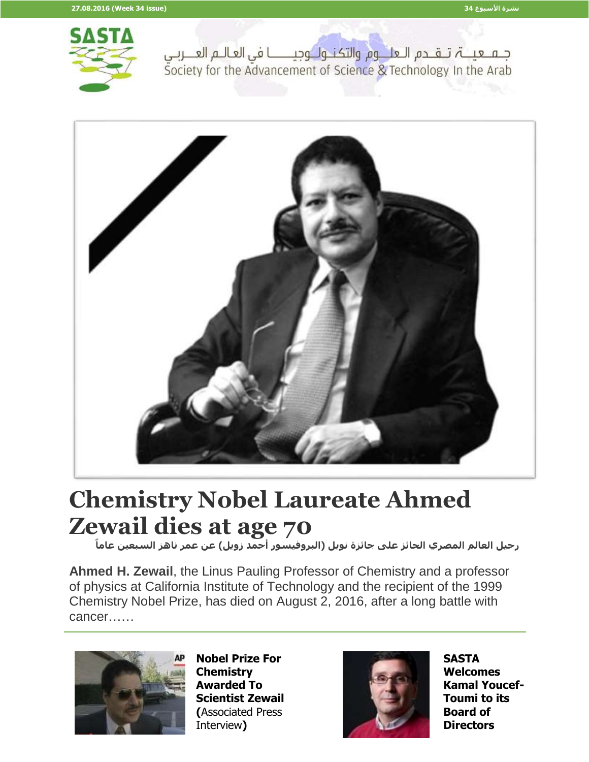

جلم لعينة تلقلدم اللعلم وم والتكنيول وجيلسنا في العاليم العليربي Society for the Advancement of Science & Technology In the Arab



## **Chemistry Nobel Laureate Ahmed Zewail dies at age 70**

 **رحيل العالم المصري الحائز على جائزة نوبل )البروفيسور أحمد زويل( عن عمر ناهز السبعين عاما**

**Ahmed H. Zewail**, the Linus Pauling Professor of Chemistry and a professor of physics at California Institute of Technology and the recipient of the 1999 Chemistry Nobel Prize, has died on August 2, 2016, after a long battle with cancer……



**Nobel Prize For Chemistry Awarded To Scientist Zewail (**Associated Press Interview**)**



**SASTA Welcomes Kamal Youcef-Toumi to its Board of Directors**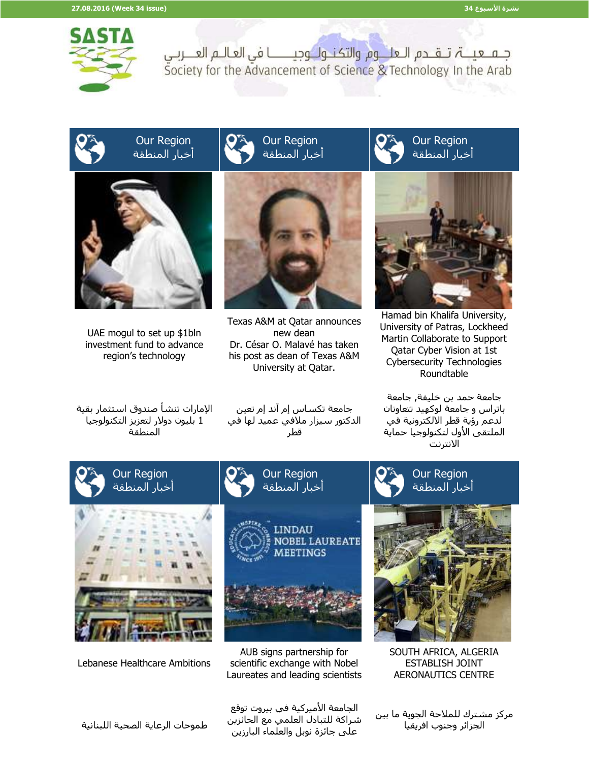

جلم عينة تلقادم العلالوم والتكناول وجياسنا في العاليم العنزبي Society for the Advancement of Science & Technology In the Arab

## Our Region أخبار المنطقة



UAE mogul to set up \$1bln investment fund to advance region's technology



Our Region

Texas A&M at Qatar announces new dean Dr. César O. Malavé has taken his post as dean of Texas A&M University at Qatar.

Our Region أخبار المنطقة



Hamad bin Khalifa University, University of Patras, Lockheed Martin Collaborate to Support Qatar Cyber Vision at 1st Cybersecurity Technologies Roundtable

اإلمارات تنشأ صندوق استثمار بقية 1 بليون دوالر لتعزيز التكنولوجيا المنطقة

جامعة تكساس إم آند إم تعين الدكتور سيزار مالفي عميد لها في قطر

جامعة حمد بن خليفة, جامعة باتراس و جامعة لوكهيد تتعاونان لدعم رؤية قطر االلكترونية في الملتقى الأول لتكنولوجيا حماية االنترنت



SOUTH AFRICA, ALGERIA ESTABLISH JOINT AERONAUTICS CENTRE

AUB signs partnership for scientific exchange with Nobel Laureates and leading scientists

> مركز مشترك للملاحة الجوية ما بين الجزائر وجنوب افريقيا

الجامعة الأميركية في بيروت توقع شراكة للتبادل العلمي مع الحائزين على جائزة نوبل والعلماء البارزين

طموحات الرعاية الصحية اللبنانية

Lebanese Healthcare Ambitions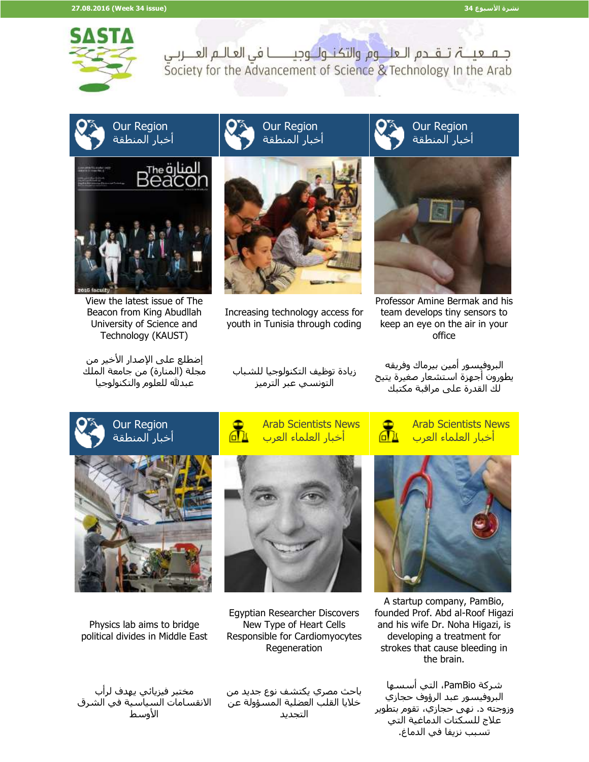

جـمـ عيــــۃ، تــقـــدم الـعلـــوم والتكنــولــوجيـــــــــا في العـالــم العـــربــي Society for the Advancement of Science & Technology In the Arab

## Our Region أخبار المنطقة



View the latest issue of The Beacon from King Abudllah University of Science and Technology (KAUST)

إضطلع على الإصدار الأخير من مجلة (المنارة) من جامعة الملك عبدلله للعلوم والتكنولوجيا

Our Region أخبار المنطقة



Increasing technology access for youth in Tunisia through coding





Professor Amine Bermak and his team develops tiny sensors to keep an eye on the air in your office

البروفيسور أمين بيرماك وفريقه يطورون أجهزة استشعار صغيرة يتيح لك القدرة على مراقبة مكتبك





زيادة توظيف التكنولوجيا للشباب التونسي عبر الترميز





Physics lab aims to bridge political divides in Middle East



Egyptian Researcher Discovers New Type of Heart Cells Responsible for Cardiomyocytes Regeneration



باحث مصري يكتشف نوع جديد من خاليا القلب العضلية المسؤولة عن التجديد



A startup company, PamBio, founded Prof. Abd al-Roof Higazi and his wife Dr. Noha Higazi, is developing a treatment for strokes that cause bleeding in the brain.

شركة PamBio، التي أسسها البروفيسور عبد الرؤوف حجازي وزوجته د. نهى حجازي، تقوم بتطوير علاج للسكتات الدماغية التي تسبب نزيفا في الدماغ.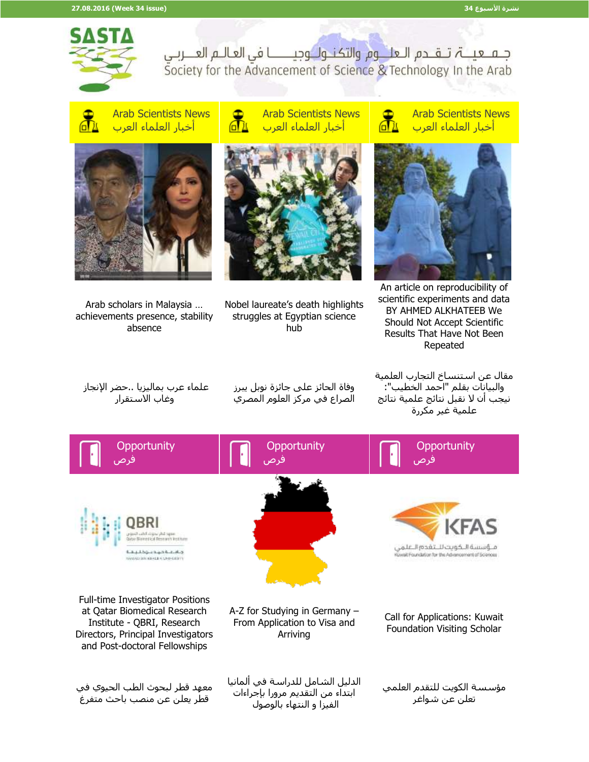

جـمـ عيــــۃ، تــقــدم الـعلـــوم والتكنــولــوجيـــــــــا في العـالـم العـــربـي Society for the Advancement of Science & Technology In the Arab



Arab Scientists News أخبار العلماء العرب



Arab scholars in Malaysia … achievements presence, stability absence

Arab Scientists News 7்∆ أخبار العلماء العرب



Nobel laureate's death highlights struggles at Egyptian science hub

Arab Scientists News ௲ أخبار العلماء العرب



An article on reproducibility of scientific experiments and data BY AHMED ALKHATEEB We Should Not Accept Scientific Results That Have Not Been Repeated

علماء عرب بماليزيا ..حضر اإلنجاز وغاب االستقرار

وفاة الحائز على جائزة نوبل يبرز الصراع في مركز العلوم المصري

مقال عن استنساخ التجارب العلمية والبيانات بقلم "احمد الخطيب": نيجب أن ال نقبل نتائج علمية نتائج علمية غير مكررة

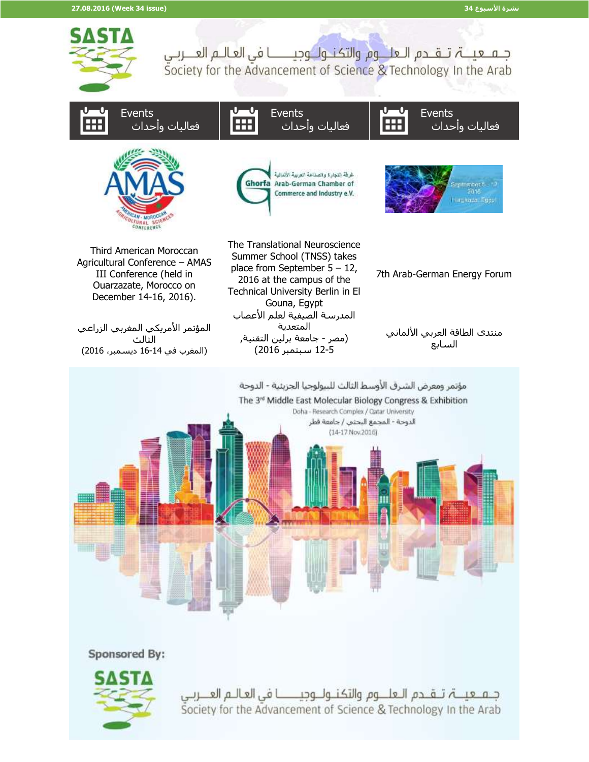

Sponsored By:



جـمـ عيــــۃ، تــقـــدم الــعلــــوم والتكـنــولـــوجيــــــــــا فى العــالــم العــــربــى Society for the Advancement of Science & Technology In the Arab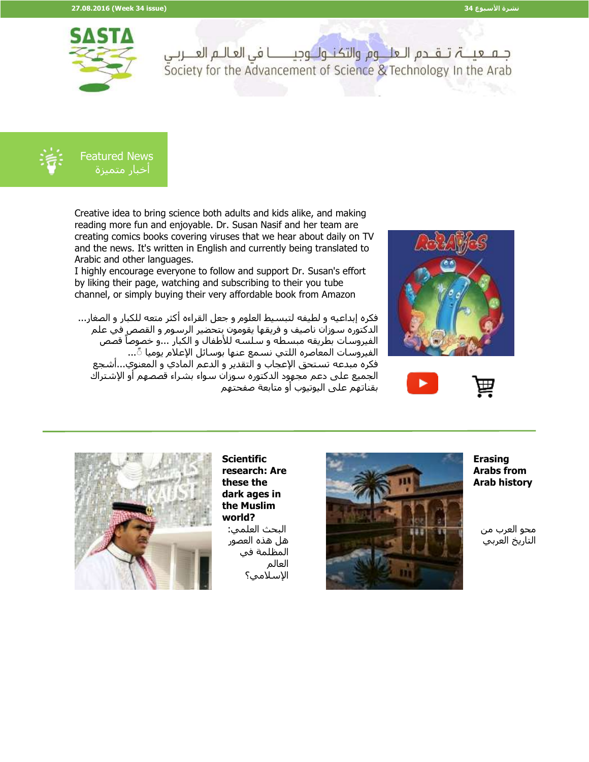

جـمـ عيــــۃ، تــقــدم الـعلـــوم والتكنــولــوجيـــــــــا في العـالـم العـــربـي Society for the Advancement of Science & Technology In the Arab



 Featured News أخبار متميزة

Creative idea to bring science both adults and kids alike, and making reading more fun and enjoyable. Dr. Susan Nasif and her team are creating comics books covering viruses that we hear about daily on TV and the news. It's written in English and currently being translated to Arabic and other languages.

I highly encourage everyone to follow and support Dr. Susan's effort by liking their page, watching and subscribing to their you tube channel, or simply buying their very affordable book from Amazon

فكره إبداعيه و لطيفه لتبسيط العلوم و جعل القراءه أكثر متعه للكبار و الصغار... الدكتوره سوزان ناصيف و فريقها يقومون بتحضير الرسوم و القصص في علم ر<br>الفيروسات بطريقه مبسطه و سلسه للأطفال و الكبار ...و خصوصاً قصّص الفيروسات المعاصره اللتي نسمع عنها بوسائل الإعلام يوميا ً... فكره مبدعه تستحق اإلعجاب و التقدير و الدعم المادي و المعنوي...أشجع الجميع على دعم مجهود الدكتوره سوزان سواء بشراء قصصهم أو اإلشتراك بقناتهم على اليوتيوب أو متابعة صفحتهم







**Scientific research: Are these the dark ages in the Muslim world?** البحث العلمي: هل هذه العصور المظلمة في العالم اإلسالمي؟



**Erasing Arabs from Arab history**

محو العرب من التاريخ العربي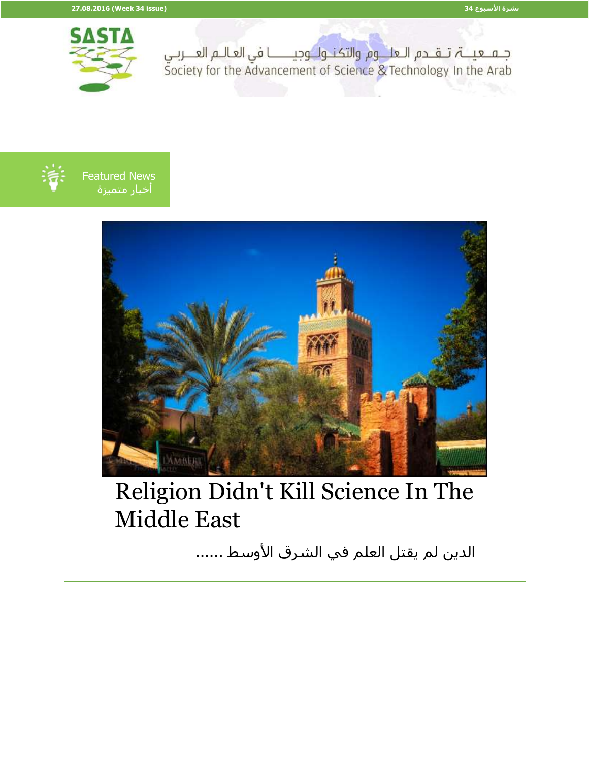



 Featured News أخبار متميزة



## Religion Didn't Kill Science In The Middle East

الدين لم يقتل العلم في الشرق الأوسط ......